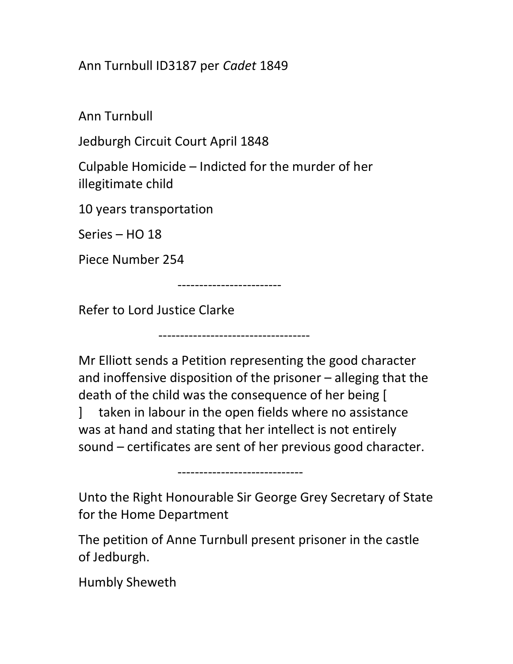Ann Turnbull ID3187 per Cadet 1849

Ann Turnbull

Jedburgh Circuit Court April 1848

Culpable Homicide – Indicted for the murder of her illegitimate child

10 years transportation

Series – HO 18

Piece Number 254

------------------------

-----------------------------------

Refer to Lord Justice Clarke

Mr Elliott sends a Petition representing the good character and inoffensive disposition of the prisoner – alleging that the death of the child was the consequence of her being [ ] taken in labour in the open fields where no assistance was at hand and stating that her intellect is not entirely sound – certificates are sent of her previous good character.

-----------------------------

Unto the Right Honourable Sir George Grey Secretary of State for the Home Department

The petition of Anne Turnbull present prisoner in the castle of Jedburgh.

Humbly Sheweth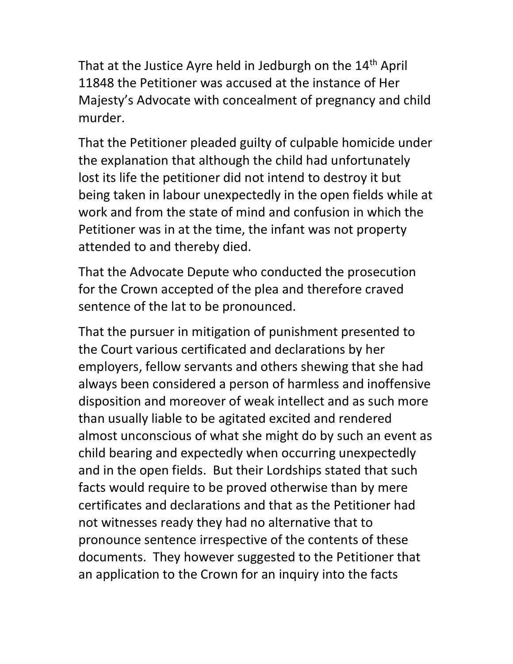That at the Justice Ayre held in Jedburgh on the 14<sup>th</sup> April 11848 the Petitioner was accused at the instance of Her Majesty's Advocate with concealment of pregnancy and child murder.

That the Petitioner pleaded guilty of culpable homicide under the explanation that although the child had unfortunately lost its life the petitioner did not intend to destroy it but being taken in labour unexpectedly in the open fields while at work and from the state of mind and confusion in which the Petitioner was in at the time, the infant was not property attended to and thereby died.

That the Advocate Depute who conducted the prosecution for the Crown accepted of the plea and therefore craved sentence of the lat to be pronounced.

That the pursuer in mitigation of punishment presented to the Court various certificated and declarations by her employers, fellow servants and others shewing that she had always been considered a person of harmless and inoffensive disposition and moreover of weak intellect and as such more than usually liable to be agitated excited and rendered almost unconscious of what she might do by such an event as child bearing and expectedly when occurring unexpectedly and in the open fields. But their Lordships stated that such facts would require to be proved otherwise than by mere certificates and declarations and that as the Petitioner had not witnesses ready they had no alternative that to pronounce sentence irrespective of the contents of these documents. They however suggested to the Petitioner that an application to the Crown for an inquiry into the facts